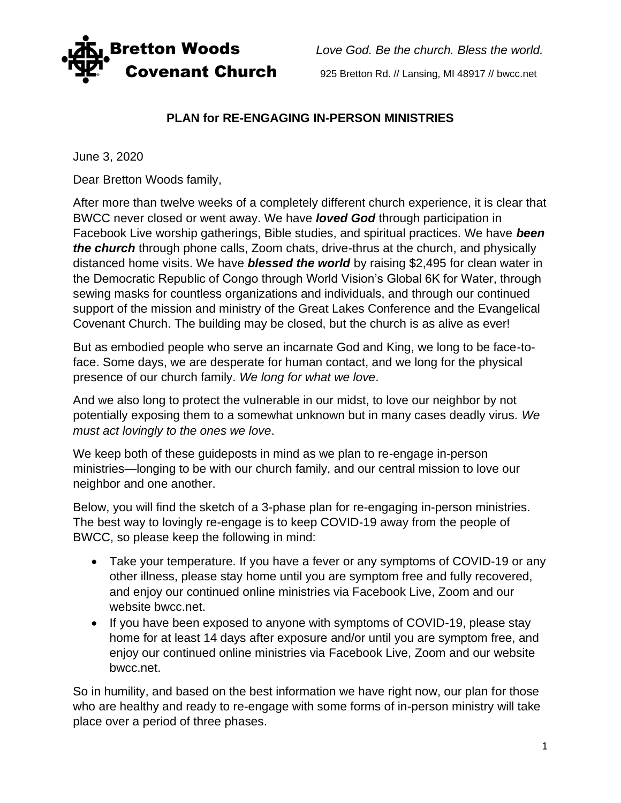

**Bretton Woods** *Love God. Be the church. Bless the world.* **Covenant Church** 925 Bretton Rd. // Lansing, MI 48917 // bwcc.net

## **PLAN for RE-ENGAGING IN-PERSON MINISTRIES**

June 3, 2020

Dear Bretton Woods family,

After more than twelve weeks of a completely different church experience, it is clear that BWCC never closed or went away. We have *loved God* through participation in Facebook Live worship gatherings, Bible studies, and spiritual practices. We have *been the church* through phone calls, Zoom chats, drive-thrus at the church, and physically distanced home visits. We have *blessed the world* by raising \$2,495 for clean water in the Democratic Republic of Congo through World Vision's Global 6K for Water, through sewing masks for countless organizations and individuals, and through our continued support of the mission and ministry of the Great Lakes Conference and the Evangelical Covenant Church. The building may be closed, but the church is as alive as ever!

But as embodied people who serve an incarnate God and King, we long to be face-toface. Some days, we are desperate for human contact, and we long for the physical presence of our church family. *We long for what we love*.

And we also long to protect the vulnerable in our midst, to love our neighbor by not potentially exposing them to a somewhat unknown but in many cases deadly virus. *We must act lovingly to the ones we love*.

We keep both of these guideposts in mind as we plan to re-engage in-person ministries—longing to be with our church family, and our central mission to love our neighbor and one another.

Below, you will find the sketch of a 3-phase plan for re-engaging in-person ministries. The best way to lovingly re-engage is to keep COVID-19 away from the people of BWCC, so please keep the following in mind:

- Take your temperature. If you have a fever or any symptoms of COVID-19 or any other illness, please stay home until you are symptom free and fully recovered, and enjoy our continued online ministries via Facebook Live, Zoom and our website bwcc.net.
- If you have been exposed to anyone with symptoms of COVID-19, please stay home for at least 14 days after exposure and/or until you are symptom free, and enjoy our continued online ministries via Facebook Live, Zoom and our website bwcc.net.

So in humility, and based on the best information we have right now, our plan for those who are healthy and ready to re-engage with some forms of in-person ministry will take place over a period of three phases.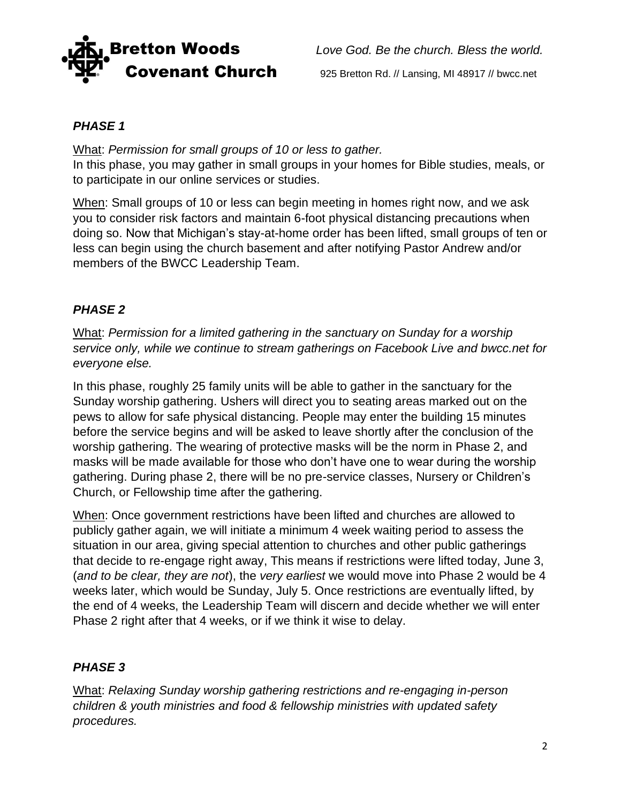

**Bretton Woods** *Love God. Be the church. Bless the world.* 

## *PHASE 1*

What: *Permission for small groups of 10 or less to gather.* In this phase, you may gather in small groups in your homes for Bible studies, meals, or to participate in our online services or studies.

When: Small groups of 10 or less can begin meeting in homes right now, and we ask you to consider risk factors and maintain 6-foot physical distancing precautions when doing so. Now that Michigan's stay-at-home order has been lifted, small groups of ten or less can begin using the church basement and after notifying Pastor Andrew and/or members of the BWCC Leadership Team.

## *PHASE 2*

What: *Permission for a limited gathering in the sanctuary on Sunday for a worship service only, while we continue to stream gatherings on Facebook Live and bwcc.net for everyone else.*

In this phase, roughly 25 family units will be able to gather in the sanctuary for the Sunday worship gathering. Ushers will direct you to seating areas marked out on the pews to allow for safe physical distancing. People may enter the building 15 minutes before the service begins and will be asked to leave shortly after the conclusion of the worship gathering. The wearing of protective masks will be the norm in Phase 2, and masks will be made available for those who don't have one to wear during the worship gathering. During phase 2, there will be no pre-service classes, Nursery or Children's Church, or Fellowship time after the gathering.

When: Once government restrictions have been lifted and churches are allowed to publicly gather again, we will initiate a minimum 4 week waiting period to assess the situation in our area, giving special attention to churches and other public gatherings that decide to re-engage right away, This means if restrictions were lifted today, June 3, (*and to be clear, they are not*), the *very earliest* we would move into Phase 2 would be 4 weeks later, which would be Sunday, July 5. Once restrictions are eventually lifted, by the end of 4 weeks, the Leadership Team will discern and decide whether we will enter Phase 2 right after that 4 weeks, or if we think it wise to delay.

## *PHASE 3*

What: *Relaxing Sunday worship gathering restrictions and re-engaging in-person children & youth ministries and food & fellowship ministries with updated safety procedures.*